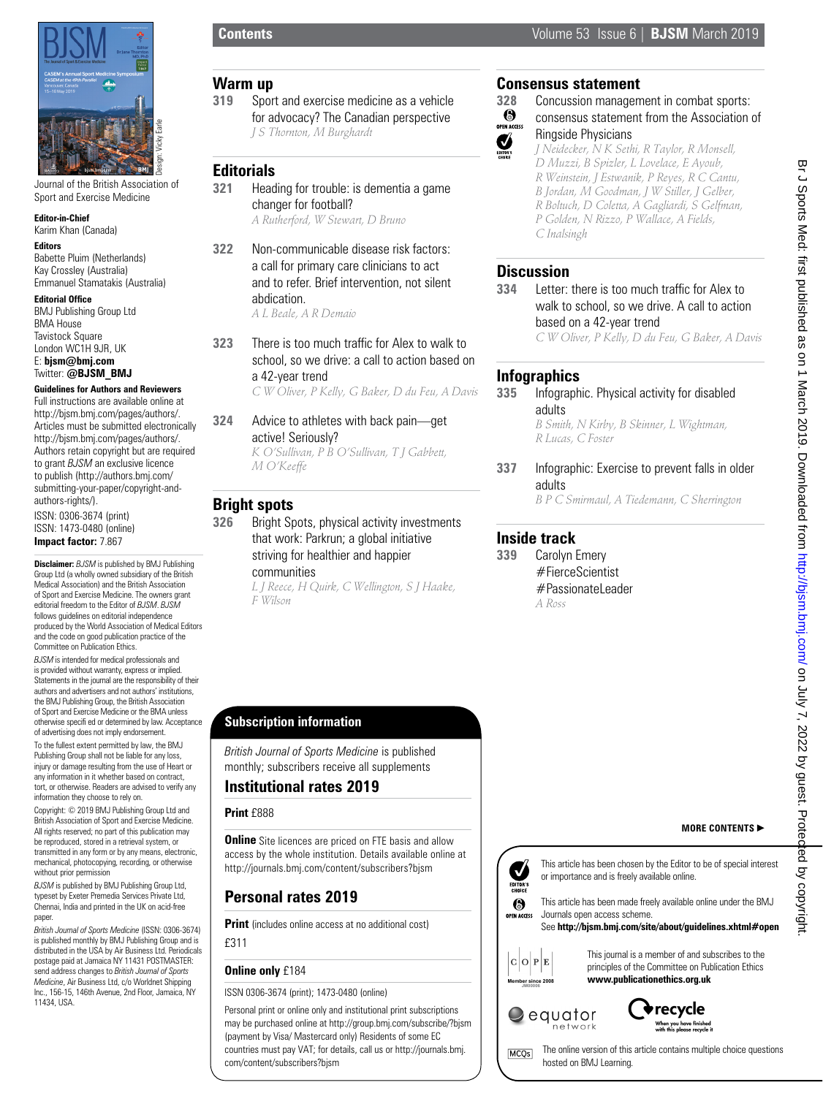

Journal of the British Association of Sport and Exercise Medicine

#### **Editor-in-Chief**

Karim Khan (Canada)

#### **Editors**

Babette Pluim (Netherlands) Kay Crossley (Australia) Emmanuel Stamatakis (Australia)

#### **Editorial Office**

BMJ Publishing Group Ltd BMA House Tavistock Square London WC1H 9JR, UK E: **bjsm@bmj.com** Twitter: **@BJSM\_BMJ**

#### **Guidelines for Authors and Reviewers**

Full instructions are available online at http://bjsm.bmj.com/pages/authors/. Articles must be submitted electronically http://bjsm.bmj.com/pages/authors/. Authors retain copyright but are required to grant *BJSM* an exclusive licence to publish (http://authors.bmj.com/ submitting-your-paper/copyright-andauthors-rights/). ISSN: 0306-3674 (print) ISSN: 1473-0480 (online) **Impact factor:** 7.867

**Disclaimer:** *BJSM* is published by BMJ Publishing Group Ltd (a wholly owned subsidiary of the British Medical Association) and the British Association of Sport and Exercise Medicine. The owners grant editorial freedom to the Editor of *BJSM*. *BJSM* follows guidelines on editorial independence produced by the World Association of Medical Editors and the code on good publication practice of the Committee on Publication Ethics.

*BJSM* is intended for medical professionals and is provided without warranty, express or implied. Statements in the journal are the responsibility of their authors and advertisers and not authors' institutions, the BMJ Publishing Group, the British Association of Sport and Exercise Medicine or the BMA unless otherwise specifi ed or determined by law. Acceptance of advertising does not imply endorsement.

To the fullest extent permitted by law, the BMJ Publishing Group shall not be liable for any loss, injury or damage resulting from the use of Heart or any information in it whether based on contract, tort, or otherwise. Readers are advised to verify any information they choose to rely on.

Copyright: © 2019 BMJ Publishing Group Ltd and British Association of Sport and Exercise Medicine. All rights reserved; no part of this publication may be reproduced, stored in a retrieval system, or transmitted in any form or by any means, electronic, mechanical, photocopying, recording, or otherwise without prior permission

*BJSM* is published by BMJ Publishing Group Ltd, typeset by Exeter Premedia Services Private Ltd, Chennai, India and printed in the UK on acid-free paper.

*British Journal of Sports Medicine* (ISSN: 0306-3674) is published monthly by BMJ Publishing Group and is distributed in the USA by Air Business Ltd. Periodicals postage paid at Jamaica NY 11431 POSTMASTER: send address changes to *British Journal of Sports Medicine*, Air Business Ltd, c/o Worldnet Shipping Inc., 156-15, 146th Avenue, 2nd Floor, Jamaica, NY 11434, USA.

#### **Warm up**

**319** Sport and exercise medicine as a vehicle for advocacy? The Canadian perspective *J S Thornton, M Burghardt*

## **Editorials**

- **321** Heading for trouble: is dementia a game changer for football? *A Rutherford, W Stewart, D Bruno*
- **322** Non-communicable disease risk factors: a call for primary care clinicians to act and to refer. Brief intervention, not silent abdication.

*A L Beale, A R Demaio*

**323** There is too much traffic for Alex to walk to school, so we drive: a call to action based on a 42-year trend

*C W Oliver, P Kelly, G Baker, D du Feu, A Davis*

**324** Advice to athletes with back pain—get active! Seriously? *K O'Sullivan, P B O'Sullivan, T J Gabbett,* 

## **Bright spots**

**326** Bright Spots, physical activity investments that work: Parkrun; a global initiative striving for healthier and happier

# communities

*M O'Keeffe*

*L J Reece, H Quirk, C Wellington, S J Haake, F Wilson*

# **Consensus statement**<br>328 Concussion managem

# **328** Concussion management in combat sports:<br> **328** Consensus statement from the Association

consensus statement from the Association of OPEN ACCESS Ringside Physicians  $\sum_{\text{EOTORS}}$ 

*J Neidecker, N K Sethi, R Taylor, R Monsell, D Muzzi, B Spizler, L Lovelace, E Ayoub, R Weinstein, J Estwanik, P Reyes, R C Cantu, B Jordan, M Goodman, J W Stiller, J Gelber, R Boltuch, D Coletta, A Gagliardi, S Gelfman, P Golden, N Rizzo, P Wallace, A Fields, C Inalsingh*

# **Discussion**

**334** Letter: there is too much traffic for Alex to walk to school, so we drive. A call to action based on a 42-year trend

*C W Oliver, P Kelly, D du Feu, G Baker, A Davis*

# **Infographics**

**335** Infographic. Physical activity for disabled adults

*B Smith, N Kirby, B Skinner, L Wightman, R Lucas, C Foster*

**337** Infographic: Exercise to prevent falls in older adults

*B P C Smirmaul, A Tiedemann, C Sherrington*

# **Inside track**

**339** Carolyn Emery #FierceScientist  $#$ Passionatel eader *A Ross*

# **Subscription information**

*British Journal of Sports Medicine* is published monthly; subscribers receive all supplements

## **Institutional rates 2019**

#### **Print** £888

**Online** Site licences are priced on FTE basis and allow access by the whole institution. Details available online at http://journals.bmj.com/content/subscribers?bjsm

# **Personal rates 2019**

**Print** (includes online access at no additional cost) £311

#### **Online only** £184

ISSN 0306-3674 (print); 1473-0480 (online)

Personal print or online only and institutional print subscriptions may be purchased online at http://group.bmj.com/subscribe/?bjsm (payment by Visa/ Mastercard only) Residents of some EC countries must pay VAT; for details, call us or http://journals.bmj. com/content/subscribers?bjsm



This journal is a member of and subscribes to the principles of the Committee on Publication Ethics **www.publicationethics.org.uk**

**MORE CONTENTS** 

# $\mathrel{\color{green}\cup}$  equator network

**Member since 2008 JM00006**



The online version of this article contains multiple choice questions **MCQs** hosted on BMJ Learning.

**Contents** Volume 53 Issue 6 | **BJSM** March 2019